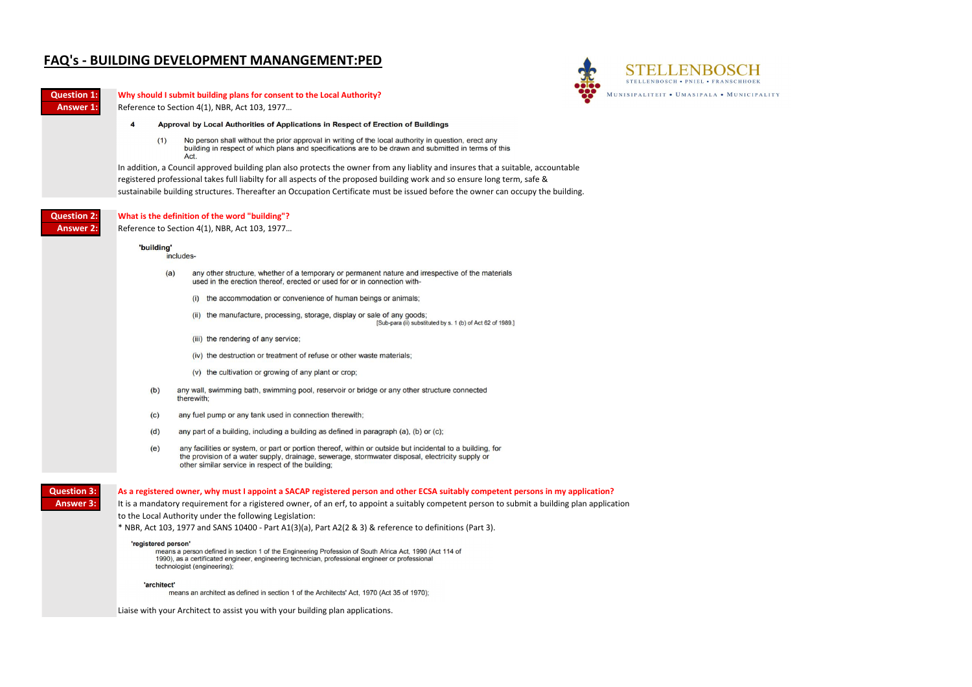



## **FAQ's - BUILDING DEVELOPMENT MANANGEMENT:PED**

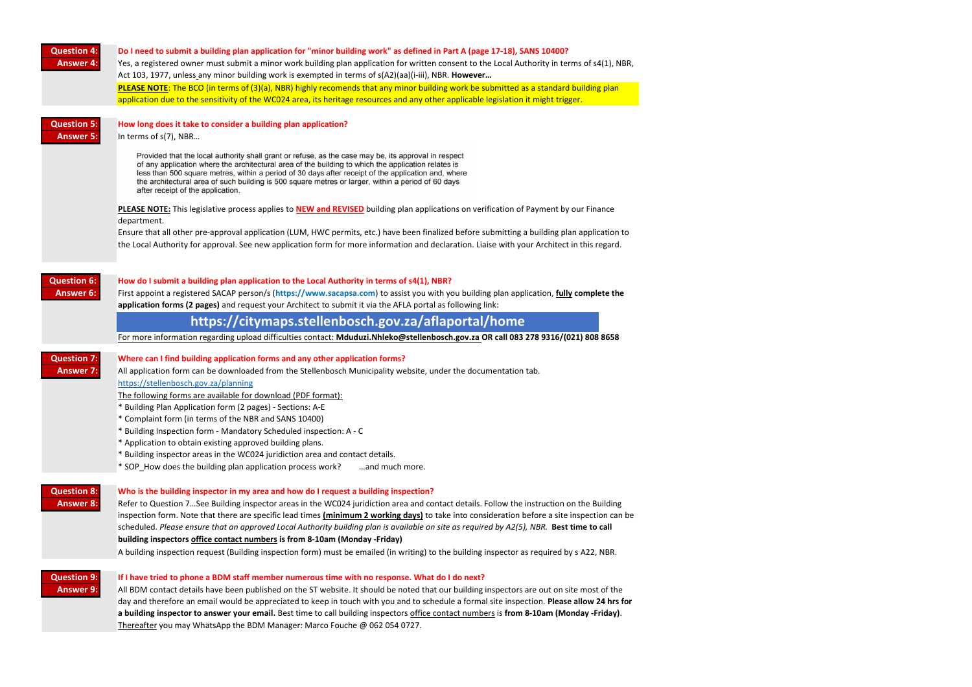| <b>Question 4:</b><br><b>Answer 4:</b> | Do I need to submit a building plan application for "minor building work" as defined in Part A (page 17-18), SANS 10400?<br>Yes, a registered owner must submit a minor work building plan application for written consent to the Local Authority in terms of s4(1), NBR,<br>Act 103, 1977, unless any minor building work is exempted in terms of s(A2)(aa)(i-iii), NBR. However<br>PLEASE NOTE: The BCO (in terms of (3)(a), NBR) highly recomends that any minor building work be submitted as a standard building plan<br>application due to the sensitivity of the WC024 area, its heritage resources and any other applicable legislation it might trigger.                                                                                                                                                                                                                                                                                                                                               |  |  |
|----------------------------------------|-----------------------------------------------------------------------------------------------------------------------------------------------------------------------------------------------------------------------------------------------------------------------------------------------------------------------------------------------------------------------------------------------------------------------------------------------------------------------------------------------------------------------------------------------------------------------------------------------------------------------------------------------------------------------------------------------------------------------------------------------------------------------------------------------------------------------------------------------------------------------------------------------------------------------------------------------------------------------------------------------------------------|--|--|
| <b>Question 5:</b><br><b>Answer 5:</b> | How long does it take to consider a building plan application?<br>In terms of s(7), NBR<br>Provided that the local authority shall grant or refuse, as the case may be, its approval in respect<br>of any application where the architectural area of the building to which the application relates is<br>less than 500 square metres, within a period of 30 days after receipt of the application and, where<br>the architectural area of such building is 500 square metres or larger, within a period of 60 days<br>after receipt of the application.<br>PLEASE NOTE: This legislative process applies to NEW and REVISED building plan applications on verification of Payment by our Finance<br>department.<br>Ensure that all other pre-approval application (LUM, HWC permits, etc.) have been finalized before submitting a building plan application to<br>the Local Authority for approval. See new application form for more information and declaration. Liaise with your Architect in this regard. |  |  |
| <b>Question 6:</b><br><b>Answer 6:</b> | How do I submit a building plan application to the Local Authority in terms of s4(1), NBR?<br>First appoint a registered SACAP person/s (https://www.sacapsa.com) to assist you with you building plan application, fully complete the<br>application forms (2 pages) and request your Architect to submit it via the AFLA portal as following link:<br>https://citymaps.stellenbosch.gov.za/aflaportal/home<br>For more information regarding upload difficulties contact: Mduduzi.Nhleko@stellenbosch.gov.za OR call 083 278 9316/(021) 808 8658                                                                                                                                                                                                                                                                                                                                                                                                                                                              |  |  |
| <b>Question 7:</b><br><b>Answer 7:</b> | Where can I find building application forms and any other application forms?<br>All application form can be downloaded from the Stellenbosch Municipality website, under the documentation tab.<br>https://stellenbosch.gov.za/planning<br>The following forms are available for download (PDF format):<br>* Building Plan Application form (2 pages) - Sections: A-E<br>* Complaint form (in terms of the NBR and SANS 10400)<br>* Building Inspection form - Mandatory Scheduled inspection: A - C<br>* Application to obtain existing approved building plans.<br>* Building inspector areas in the WC024 juridiction area and contact details.<br>* SOP_How does the building plan application process work?<br>and much more.                                                                                                                                                                                                                                                                              |  |  |
| <b>Question 8:</b><br><b>Answer 8:</b> | Who is the building inspector in my area and how do I request a building inspection?<br>Refer to Question 7See Building inspector areas in the WC024 juridiction area and contact details. Follow the instruction on the Building<br>inspection form. Note that there are specific lead times (minimum 2 working days) to take into consideration before a site inspection can be<br>scheduled. Please ensure that an approved Local Authority building plan is available on site as required by A2(5), NBR. Best time to call<br>building inspectors office contact numbers is from 8-10am (Monday -Friday)<br>A building inspection request (Building inspection form) must be emailed (in writing) to the building inspector as required by s A22, NBR.                                                                                                                                                                                                                                                      |  |  |
| <b>Question 9:</b><br><b>Answer 9:</b> | If I have tried to phone a BDM staff member numerous time with no response. What do I do next?<br>All BDM contact details have been published on the ST website. It should be noted that our building inspectors are out on site most of the<br>day and therefore an email would be appreciated to keep in touch with you and to schedule a formal site inspection. Please allow 24 hrs for<br>a building inspector to answer your email. Best time to call building inspectors office contact numbers is from 8-10am (Monday -Friday).<br>Thereafter you may WhatsApp the BDM Manager: Marco Fouche @ 062 054 0727.                                                                                                                                                                                                                                                                                                                                                                                            |  |  |